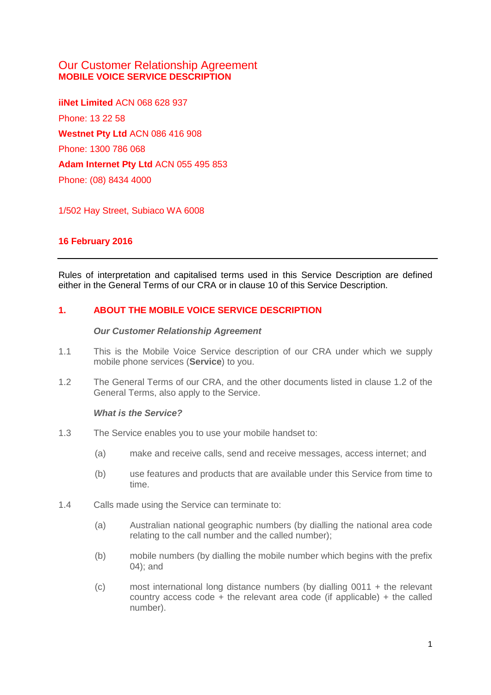# Our Customer Relationship Agreement **MOBILE VOICE SERVICE DESCRIPTION**

**iiNet Limited** ACN 068 628 937 Phone: 13 22 58 **Westnet Pty Ltd** ACN 086 416 908 Phone: 1300 786 068 **Adam Internet Pty Ltd** ACN 055 495 853 Phone: (08) 8434 4000

1/502 Hay Street, Subiaco WA 6008

# **16 February 2016**

Rules of interpretation and capitalised terms used in this Service Description are defined either in the General Terms of our CRA or in clause 10 of this Service Description.

# **1. ABOUT THE MOBILE VOICE SERVICE DESCRIPTION**

## *Our Customer Relationship Agreement*

- 1.1 This is the Mobile Voice Service description of our CRA under which we supply mobile phone services (**Service**) to you.
- 1.2 The General Terms of our CRA, and the other documents listed in clause 1.2 of the General Terms, also apply to the Service.

#### *What is the Service?*

- 1.3 The Service enables you to use your mobile handset to:
	- (a) make and receive calls, send and receive messages, access internet; and
	- (b) use features and products that are available under this Service from time to time.
- 1.4 Calls made using the Service can terminate to:
	- (a) Australian national geographic numbers (by dialling the national area code relating to the call number and the called number);
	- (b) mobile numbers (by dialling the mobile number which begins with the prefix 04); and
	- (c) most international long distance numbers (by dialling 0011 + the relevant country access code  $+$  the relevant area code (if applicable)  $+$  the called number).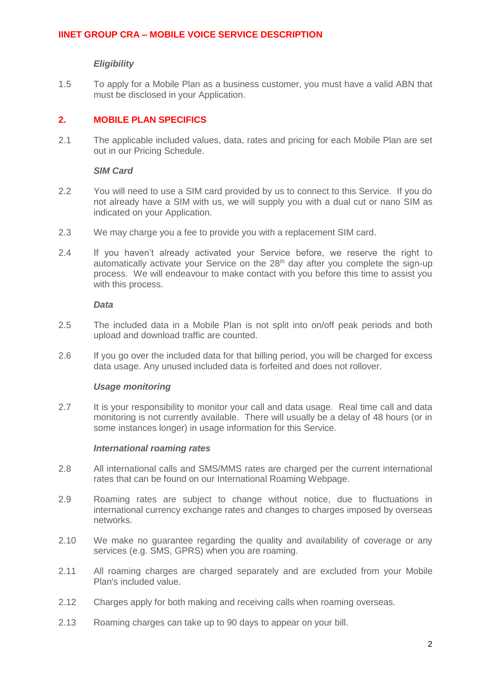## *Eligibility*

1.5 To apply for a Mobile Plan as a business customer, you must have a valid ABN that must be disclosed in your Application.

## **2. MOBILE PLAN SPECIFICS**

2.1 The applicable included values, data, rates and pricing for each Mobile Plan are set out in our Pricing Schedule.

### *SIM Card*

- 2.2 You will need to use a SIM card provided by us to connect to this Service. If you do not already have a SIM with us, we will supply you with a dual cut or nano SIM as indicated on your Application.
- 2.3 We may charge you a fee to provide you with a replacement SIM card.
- 2.4 If you haven't already activated your Service before, we reserve the right to automatically activate your Service on the 28<sup>th</sup> day after you complete the sign-up process. We will endeavour to make contact with you before this time to assist you with this process.

## *Data*

- 2.5 The included data in a Mobile Plan is not split into on/off peak periods and both upload and download traffic are counted.
- 2.6 If you go over the included data for that billing period, you will be charged for excess data usage. Any unused included data is forfeited and does not rollover.

#### *Usage monitoring*

<span id="page-1-0"></span>2.7 It is your responsibility to monitor your call and data usage. Real time call and data monitoring is not currently available. There will usually be a delay of 48 hours (or in some instances longer) in usage information for this Service.

#### *International roaming rates*

- 2.8 All international calls and SMS/MMS rates are charged per the current international rates that can be found on our International Roaming Webpage.
- 2.9 Roaming rates are subject to change without notice, due to fluctuations in international currency exchange rates and changes to charges imposed by overseas networks.
- 2.10 We make no guarantee regarding the quality and availability of coverage or any services (e.g. SMS, GPRS) when you are roaming.
- 2.11 All roaming charges are charged separately and are excluded from your Mobile Plan's included value.
- 2.12 Charges apply for both making and receiving calls when roaming overseas.
- 2.13 Roaming charges can take up to 90 days to appear on your bill.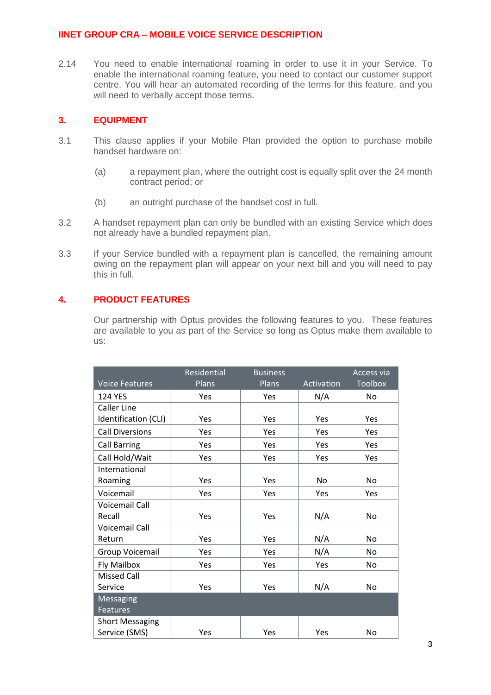2.14 You need to enable international roaming in order to use it in your Service. To enable the international roaming feature, you need to contact our customer support centre. You will hear an automated recording of the terms for this feature, and you will need to verbally accept those terms.

## **3. EQUIPMENT**

- 3.1 This clause applies if your Mobile Plan provided the option to purchase mobile handset hardware on:
	- (a) a repayment plan, where the outright cost is equally split over the 24 month contract period; or
	- (b) an outright purchase of the handset cost in full.
- 3.2 A handset repayment plan can only be bundled with an existing Service which does not already have a bundled repayment plan.
- 3.3 If your Service bundled with a repayment plan is cancelled, the remaining amount owing on the repayment plan will appear on your next bill and you will need to pay this in full.

# **4. PRODUCT FEATURES**

Our partnership with Optus provides the following features to you. These features are available to you as part of the Service so long as Optus make them available to us:

|                        | Residential | <b>Business</b> |            | Access via     |
|------------------------|-------------|-----------------|------------|----------------|
| <b>Voice Features</b>  | Plans       | Plans           | Activation | <b>Toolbox</b> |
| <b>124 YES</b>         | Yes         | Yes             | N/A        | No             |
| <b>Caller Line</b>     |             |                 |            |                |
| Identification (CLI)   | Yes         | Yes             | Yes        | Yes            |
| <b>Call Diversions</b> | Yes         | Yes             | Yes        | Yes            |
| <b>Call Barring</b>    | Yes         | Yes             | Yes        | Yes            |
| Call Hold/Wait         | Yes         | Yes             | Yes        | Yes            |
| International          |             |                 |            |                |
| Roaming                | Yes         | Yes             | No.        | N <sub>o</sub> |
| Voicemail              | Yes         | Yes             | Yes        | Yes            |
| Voicemail Call         |             |                 |            |                |
| Recall                 | Yes         | Yes             | N/A        | No             |
| <b>Voicemail Call</b>  |             |                 |            |                |
| Return                 | Yes         | Yes             | N/A        | N <sub>o</sub> |
| Group Voicemail        | Yes         | Yes             | N/A        | No             |
| Fly Mailbox            | Yes         | Yes             | Yes        | No             |
| <b>Missed Call</b>     |             |                 |            |                |
| Service                | Yes         | Yes             | N/A        | No             |
| Messaging              |             |                 |            |                |
| Features               |             |                 |            |                |
| <b>Short Messaging</b> |             |                 |            |                |
| Service (SMS)          | Yes         | Yes             | Yes        | No             |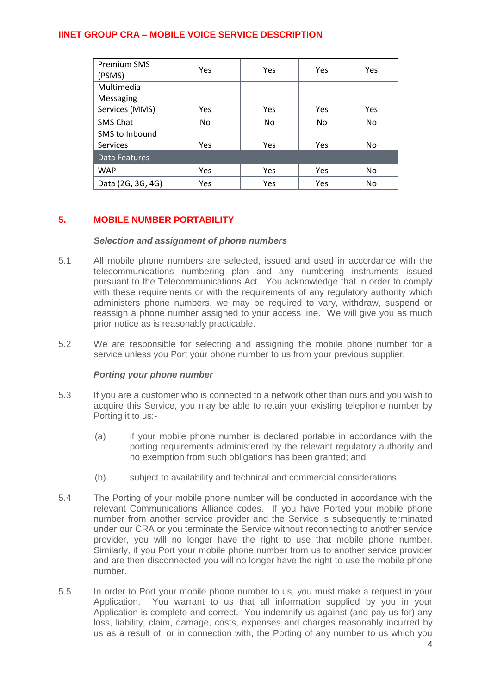| <b>Premium SMS</b><br>(PSMS) | Yes        | Yes        | <b>Yes</b> | Yes        |
|------------------------------|------------|------------|------------|------------|
| Multimedia                   |            |            |            |            |
| Messaging                    |            |            |            |            |
| Services (MMS)               | <b>Yes</b> | <b>Yes</b> | Yes        | <b>Yes</b> |
| <b>SMS Chat</b>              | No.        | No.        | No         | No.        |
| SMS to Inbound               |            |            |            |            |
| <b>Services</b>              | Yes        | <b>Yes</b> | Yes        | No         |
| Data Features                |            |            |            |            |
| <b>WAP</b>                   | <b>Yes</b> | <b>Yes</b> | Yes        | No.        |
| Data (2G, 3G, 4G)            | Yes        | <b>Yes</b> | Yes        | No         |

# **5. MOBILE NUMBER PORTABILITY**

# *Selection and assignment of phone numbers*

- 5.1 All mobile phone numbers are selected, issued and used in accordance with the telecommunications numbering plan and any numbering instruments issued pursuant to the Telecommunications Act. You acknowledge that in order to comply with these requirements or with the requirements of any regulatory authority which administers phone numbers, we may be required to vary, withdraw, suspend or reassign a phone number assigned to your access line. We will give you as much prior notice as is reasonably practicable.
- 5.2 We are responsible for selecting and assigning the mobile phone number for a service unless you Port your phone number to us from your previous supplier.

## *Porting your phone number*

- 5.3 If you are a customer who is connected to a network other than ours and you wish to acquire this Service, you may be able to retain your existing telephone number by Porting it to us:-
	- (a) if your mobile phone number is declared portable in accordance with the porting requirements administered by the relevant regulatory authority and no exemption from such obligations has been granted; and
	- (b) subject to availability and technical and commercial considerations.
- 5.4 The Porting of your mobile phone number will be conducted in accordance with the relevant Communications Alliance codes. If you have Ported your mobile phone number from another service provider and the Service is subsequently terminated under our CRA or you terminate the Service without reconnecting to another service provider, you will no longer have the right to use that mobile phone number. Similarly, if you Port your mobile phone number from us to another service provider and are then disconnected you will no longer have the right to use the mobile phone number.
- 5.5 In order to Port your mobile phone number to us, you must make a request in your Application. You warrant to us that all information supplied by you in your Application is complete and correct. You indemnify us against (and pay us for) any loss, liability, claim, damage, costs, expenses and charges reasonably incurred by us as a result of, or in connection with, the Porting of any number to us which you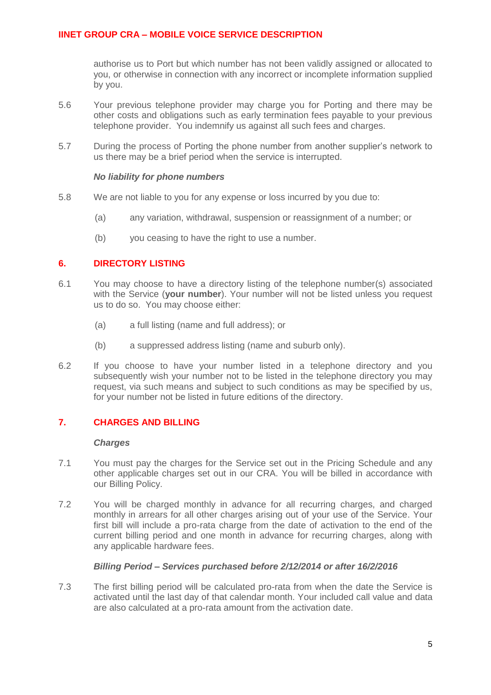authorise us to Port but which number has not been validly assigned or allocated to you, or otherwise in connection with any incorrect or incomplete information supplied by you.

- 5.6 Your previous telephone provider may charge you for Porting and there may be other costs and obligations such as early termination fees payable to your previous telephone provider. You indemnify us against all such fees and charges.
- 5.7 During the process of Porting the phone number from another supplier's network to us there may be a brief period when the service is interrupted.

## *No liability for phone numbers*

- 5.8 We are not liable to you for any expense or loss incurred by you due to:
	- (a) any variation, withdrawal, suspension or reassignment of a number; or
	- (b) you ceasing to have the right to use a number.

## **6. DIRECTORY LISTING**

- 6.1 You may choose to have a directory listing of the telephone number(s) associated with the Service (**your number**). Your number will not be listed unless you request us to do so. You may choose either:
	- (a) a full listing (name and full address); or
	- (b) a suppressed address listing (name and suburb only).
- 6.2 If you choose to have your number listed in a telephone directory and you subsequently wish your number not to be listed in the telephone directory you may request, via such means and subject to such conditions as may be specified by us, for your number not be listed in future editions of the directory.

## **7. CHARGES AND BILLING**

#### *Charges*

- 7.1 You must pay the charges for the Service set out in the Pricing Schedule and any other applicable charges set out in our CRA. You will be billed in accordance with our Billing Policy.
- 7.2 You will be charged monthly in advance for all recurring charges, and charged monthly in arrears for all other charges arising out of your use of the Service. Your first bill will include a pro-rata charge from the date of activation to the end of the current billing period and one month in advance for recurring charges, along with any applicable hardware fees.

### *Billing Period – Services purchased before 2/12/2014 or after 16/2/2016*

7.3 The first billing period will be calculated pro-rata from when the date the Service is activated until the last day of that calendar month. Your included call value and data are also calculated at a pro-rata amount from the activation date.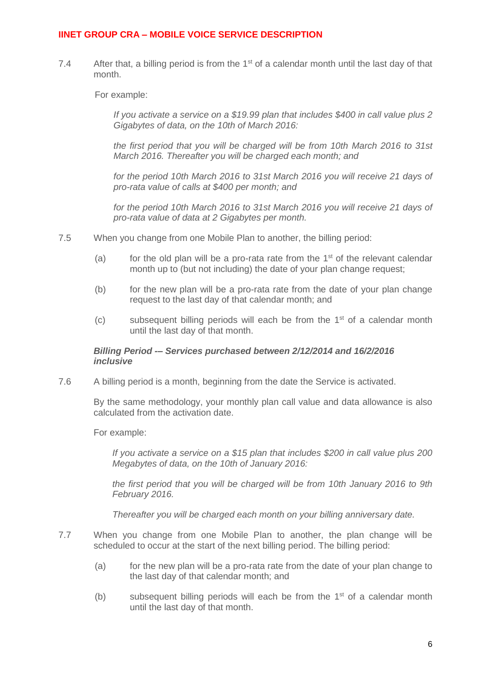7.4 After that, a billing period is from the  $1<sup>st</sup>$  of a calendar month until the last day of that month.

For example:

*If you activate a service on a \$19.99 plan that includes \$400 in call value plus 2 Gigabytes of data, on the 10th of March 2016:*

*the first period that you will be charged will be from 10th March 2016 to 31st March 2016. Thereafter you will be charged each month; and*

*for the period 10th March 2016 to 31st March 2016 you will receive 21 days of pro-rata value of calls at \$400 per month; and*

*for the period 10th March 2016 to 31st March 2016 you will receive 21 days of pro-rata value of data at 2 Gigabytes per month.*

- 7.5 When you change from one Mobile Plan to another, the billing period:
	- (a) for the old plan will be a pro-rata rate from the  $1<sup>st</sup>$  of the relevant calendar month up to (but not including) the date of your plan change request;
	- (b) for the new plan will be a pro-rata rate from the date of your plan change request to the last day of that calendar month; and
	- (c) subsequent billing periods will each be from the 1st of a calendar month until the last day of that month.

## *Billing Period -– Services purchased between 2/12/2014 and 16/2/2016 inclusive*

7.6 A billing period is a month, beginning from the date the Service is activated.

By the same methodology, your monthly plan call value and data allowance is also calculated from the activation date.

For example:

*If you activate a service on a \$15 plan that includes \$200 in call value plus 200 Megabytes of data, on the 10th of January 2016:* 

*the first period that you will be charged will be from 10th January 2016 to 9th February 2016.* 

*Thereafter you will be charged each month on your billing anniversary date.*

- 7.7 When you change from one Mobile Plan to another, the plan change will be scheduled to occur at the start of the next billing period. The billing period:
	- (a) for the new plan will be a pro-rata rate from the date of your plan change to the last day of that calendar month; and
	- (b) subsequent billing periods will each be from the  $1<sup>st</sup>$  of a calendar month until the last day of that month.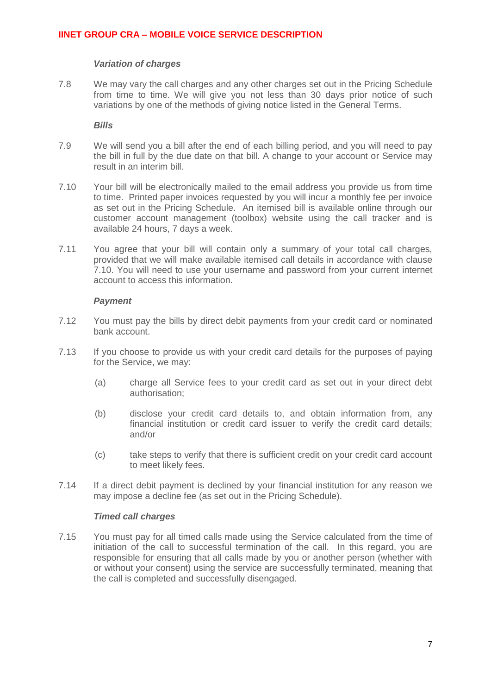### *Variation of charges*

7.8 We may vary the call charges and any other charges set out in the Pricing Schedule from time to time. We will give you not less than 30 days prior notice of such variations by one of the methods of giving notice listed in the General Terms.

*Bills*

- 7.9 We will send you a bill after the end of each billing period, and you will need to pay the bill in full by the due date on that bill. A change to your account or Service may result in an interim bill.
- <span id="page-6-0"></span>7.10 Your bill will be electronically mailed to the email address you provide us from time to time. Printed paper invoices requested by you will incur a monthly fee per invoice as set out in the Pricing Schedule. An itemised bill is available online through our customer account management (toolbox) website using the call tracker and is available 24 hours, 7 days a week.
- 7.11 You agree that your bill will contain only a summary of your total call charges, provided that we will make available itemised call details in accordance with clause [7.10.](#page-6-0) You will need to use your username and password from your current internet account to access this information.

## *Payment*

- 7.12 You must pay the bills by direct debit payments from your credit card or nominated bank account.
- 7.13 If you choose to provide us with your credit card details for the purposes of paying for the Service, we may:
	- (a) charge all Service fees to your credit card as set out in your direct debt authorisation;
	- (b) disclose your credit card details to, and obtain information from, any financial institution or credit card issuer to verify the credit card details; and/or
	- (c) take steps to verify that there is sufficient credit on your credit card account to meet likely fees.
- 7.14 If a direct debit payment is declined by your financial institution for any reason we may impose a decline fee (as set out in the Pricing Schedule).

## *Timed call charges*

7.15 You must pay for all timed calls made using the Service calculated from the time of initiation of the call to successful termination of the call. In this regard, you are responsible for ensuring that all calls made by you or another person (whether with or without your consent) using the service are successfully terminated, meaning that the call is completed and successfully disengaged.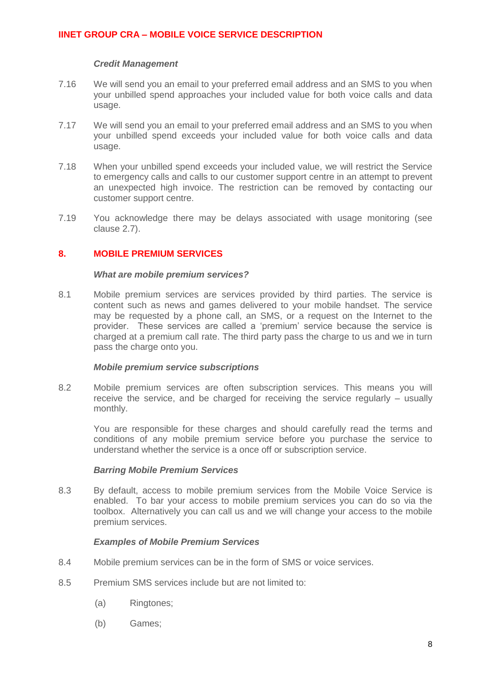## *Credit Management*

- 7.16 We will send you an email to your preferred email address and an SMS to you when your unbilled spend approaches your included value for both voice calls and data usage.
- 7.17 We will send you an email to your preferred email address and an SMS to you when your unbilled spend exceeds your included value for both voice calls and data usage.
- 7.18 When your unbilled spend exceeds your included value, we will restrict the Service to emergency calls and calls to our customer support centre in an attempt to prevent an unexpected high invoice. The restriction can be removed by contacting our customer support centre.
- 7.19 You acknowledge there may be delays associated with usage monitoring (see clause [2.7\)](#page-1-0).

## **8. MOBILE PREMIUM SERVICES**

#### *What are mobile premium services?*

8.1 Mobile premium services are services provided by third parties. The service is content such as news and games delivered to your mobile handset. The service may be requested by a phone call, an SMS, or a request on the Internet to the provider. These services are called a 'premium' service because the service is charged at a premium call rate. The third party pass the charge to us and we in turn pass the charge onto you.

## *Mobile premium service subscriptions*

8.2 Mobile premium services are often subscription services. This means you will receive the service, and be charged for receiving the service regularly – usually monthly.

You are responsible for these charges and should carefully read the terms and conditions of any mobile premium service before you purchase the service to understand whether the service is a once off or subscription service.

#### *Barring Mobile Premium Services*

8.3 By default, access to mobile premium services from the Mobile Voice Service is enabled. To bar your access to mobile premium services you can do so via the toolbox. Alternatively you can call us and we will change your access to the mobile premium services.

## *Examples of Mobile Premium Services*

- 8.4 Mobile premium services can be in the form of SMS or voice services.
- 8.5 Premium SMS services include but are not limited to:
	- (a) Ringtones;
	- (b) Games;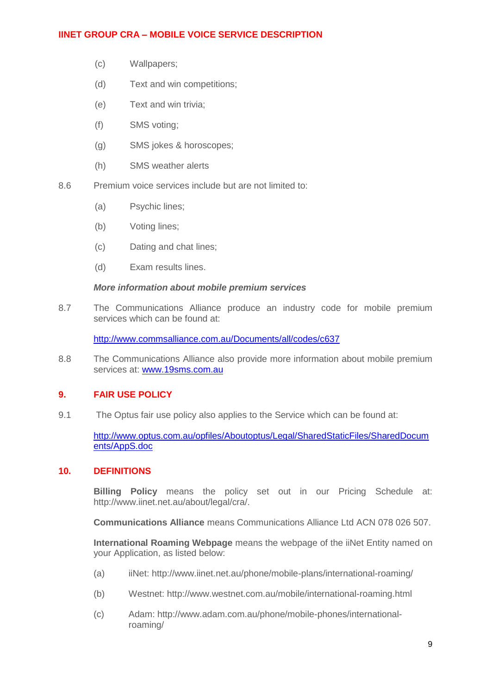- (c) Wallpapers;
- (d) Text and win competitions;
- (e) Text and win trivia;
- (f) SMS voting;
- (g) SMS jokes & horoscopes;
- (h) SMS weather alerts
- 8.6 Premium voice services include but are not limited to:
	- (a) Psychic lines;
	- (b) Voting lines;
	- (c) Dating and chat lines;
	- (d) Exam results lines.

#### *More information about mobile premium services*

8.7 The Communications Alliance produce an industry code for mobile premium services which can be found at:

<http://www.commsalliance.com.au/Documents/all/codes/c637>

8.8 The Communications Alliance also provide more information about mobile premium services at: [www.19sms.com.au](http://www.19sms.com.au/)

### **9. FAIR USE POLICY**

9.1 The Optus fair use policy also applies to the Service which can be found at:

[http://www.optus.com.au/opfiles/Aboutoptus/Legal/SharedStaticFiles/SharedDocum](http://www.optus.com.au/opfiles/Aboutoptus/Legal/SharedStaticFiles/SharedDocuments/AppS.doc) [ents/AppS.doc](http://www.optus.com.au/opfiles/Aboutoptus/Legal/SharedStaticFiles/SharedDocuments/AppS.doc)

### **10. DEFINITIONS**

**Billing Policy** means the policy set out in our Pricing Schedule at: http://www.iinet.net.au/about/legal/cra/.

**Communications Alliance** means Communications Alliance Ltd ACN 078 026 507.

**International Roaming Webpage** means the webpage of the iiNet Entity named on your Application, as listed below:

- (a) iiNet: http://www.iinet.net.au/phone/mobile-plans/international-roaming/
- (b) Westnet: http://www.westnet.com.au/mobile/international-roaming.html
- (c) Adam: http://www.adam.com.au/phone/mobile-phones/internationalroaming/